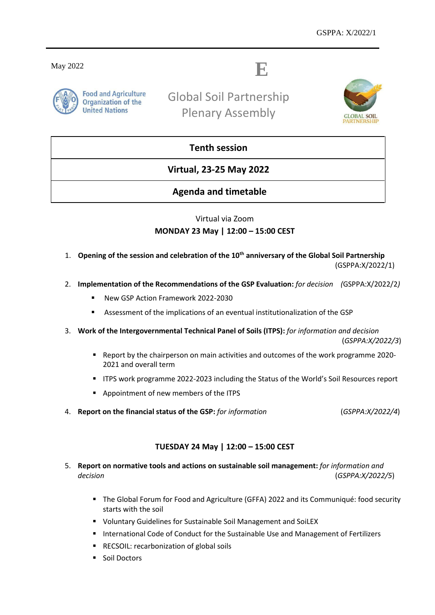May 2022

# **E**



Global Soil Partnership Plenary Assembly



## **Tenth session**

**Virtual, 23-25 May 2022**

## **Agenda and timetable**

## Virtual via Zoom **MONDAY 23 May | 12:00 – 15:00 CEST**

- 1. **Opening of the session and celebration of the 10th anniversary of the Global Soil Partnership**  (GSPPA:X/2022/1)
- 2. **Implementation of the Recommendations of the GSP Evaluation:** *for decision**(*GSPPA:X/2022/2*)*
	- New GSP Action Framework 2022-2030
	- Assessment of the implications of an eventual institutionalization of the GSP
- 3. **Work of the Intergovernmental Technical Panel of Soils (ITPS):** *for information and decision* (*GSPPA:X/2022/3*)
	- Report by the chairperson on main activities and outcomes of the work programme 2020- 2021 and overall term
	- **ITPS work programme 2022-2023 including the Status of the World's Soil Resources report**
	- Appointment of new members of the ITPS
- 4. **Report on the financial status of the GSP:** *for information* (*GSPPA:X/2022/4*)

#### **TUESDAY 24 May | 12:00 – 15:00 CEST**

- 5. **Report on normative tools and actions on sustainable soil management:** *for information and decision* (*GSPPA:X/2022/5*)
	- The Global Forum for Food and Agriculture (GFFA) 2022 and its Communiqué: food security starts with the soil
	- Voluntary Guidelines for Sustainable Soil Management and SoiLEX
	- **International Code of Conduct for the Sustainable Use and Management of Fertilizers**
	- **RECSOIL: recarbonization of global soils**
	- **Soil Doctors**